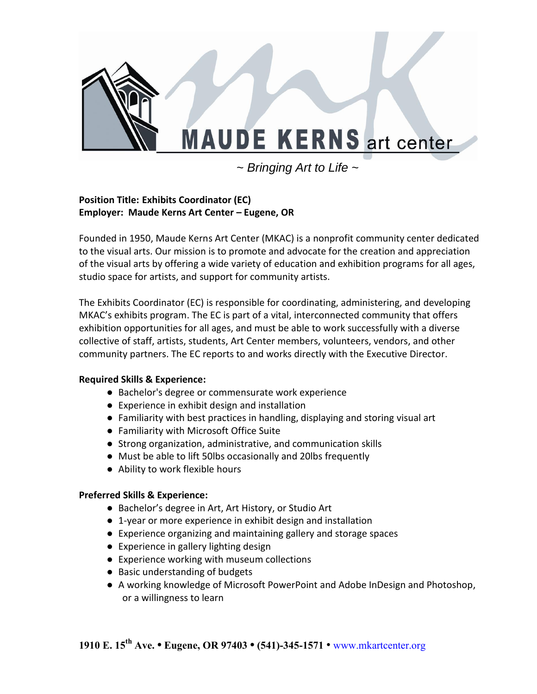

~ *Bringing Art to Life* ~

## **Position Title: Exhibits Coordinator (EC) Employer: Maude Kerns Art Center – Eugene, OR**

Founded in 1950, Maude Kerns Art Center (MKAC) is a nonprofit community center dedicated to the visual arts. Our mission is to promote and advocate for the creation and appreciation of the visual arts by offering a wide variety of education and exhibition programs for all ages, studio space for artists, and support for community artists.

The Exhibits Coordinator (EC) is responsible for coordinating, administering, and developing MKAC's exhibits program. The EC is part of a vital, interconnected community that offers exhibition opportunities for all ages, and must be able to work successfully with a diverse collective of staff, artists, students, Art Center members, volunteers, vendors, and other community partners. The EC reports to and works directly with the Executive Director.

# **Required Skills & Experience:**

- Bachelor's degree or commensurate work experience
- Experience in exhibit design and installation
- Familiarity with best practices in handling, displaying and storing visual art
- Familiarity with Microsoft Office Suite
- Strong organization, administrative, and communication skills
- Must be able to lift 50lbs occasionally and 20lbs frequently
- Ability to work flexible hours

# **Preferred Skills & Experience:**

- Bachelor's degree in Art, Art History, or Studio Art
- 1-year or more experience in exhibit design and installation
- Experience organizing and maintaining gallery and storage spaces
- Experience in gallery lighting design
- Experience working with museum collections
- Basic understanding of budgets
- A working knowledge of Microsoft PowerPoint and Adobe InDesign and Photoshop, or a willingness to learn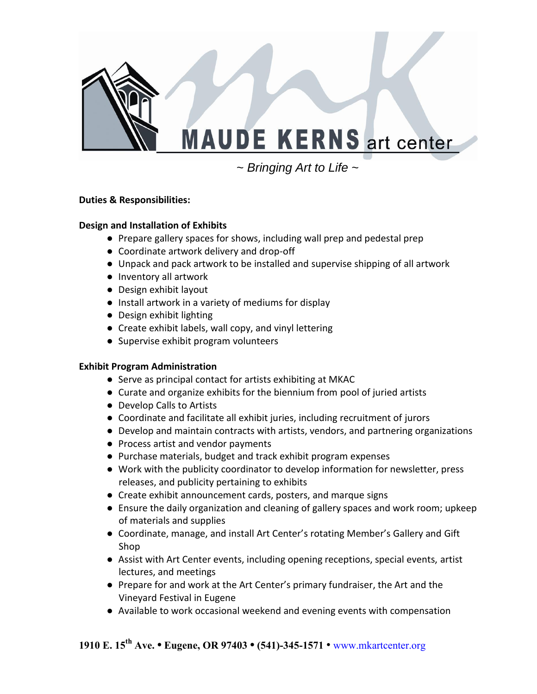

~ *Bringing Art to Life* ~

# **Duties & Responsibilities:**

### **Design and Installation of Exhibits**

- Prepare gallery spaces for shows, including wall prep and pedestal prep
- Coordinate artwork delivery and drop-off
- Unpack and pack artwork to be installed and supervise shipping of all artwork
- Inventory all artwork
- Design exhibit layout
- Install artwork in a variety of mediums for display
- Design exhibit lighting
- Create exhibit labels, wall copy, and vinyl lettering
- Supervise exhibit program volunteers

# **Exhibit Program Administration**

- Serve as principal contact for artists exhibiting at MKAC
- Curate and organize exhibits for the biennium from pool of juried artists
- Develop Calls to Artists
- Coordinate and facilitate all exhibit juries, including recruitment of jurors
- Develop and maintain contracts with artists, vendors, and partnering organizations
- Process artist and vendor payments
- Purchase materials, budget and track exhibit program expenses
- Work with the publicity coordinator to develop information for newsletter, press releases, and publicity pertaining to exhibits
- Create exhibit announcement cards, posters, and marque signs
- Ensure the daily organization and cleaning of gallery spaces and work room; upkeep of materials and supplies
- Coordinate, manage, and install Art Center's rotating Member's Gallery and Gift Shop
- Assist with Art Center events, including opening receptions, special events, artist lectures, and meetings
- Prepare for and work at the Art Center's primary fundraiser, the Art and the Vineyard Festival in Eugene
- Available to work occasional weekend and evening events with compensation